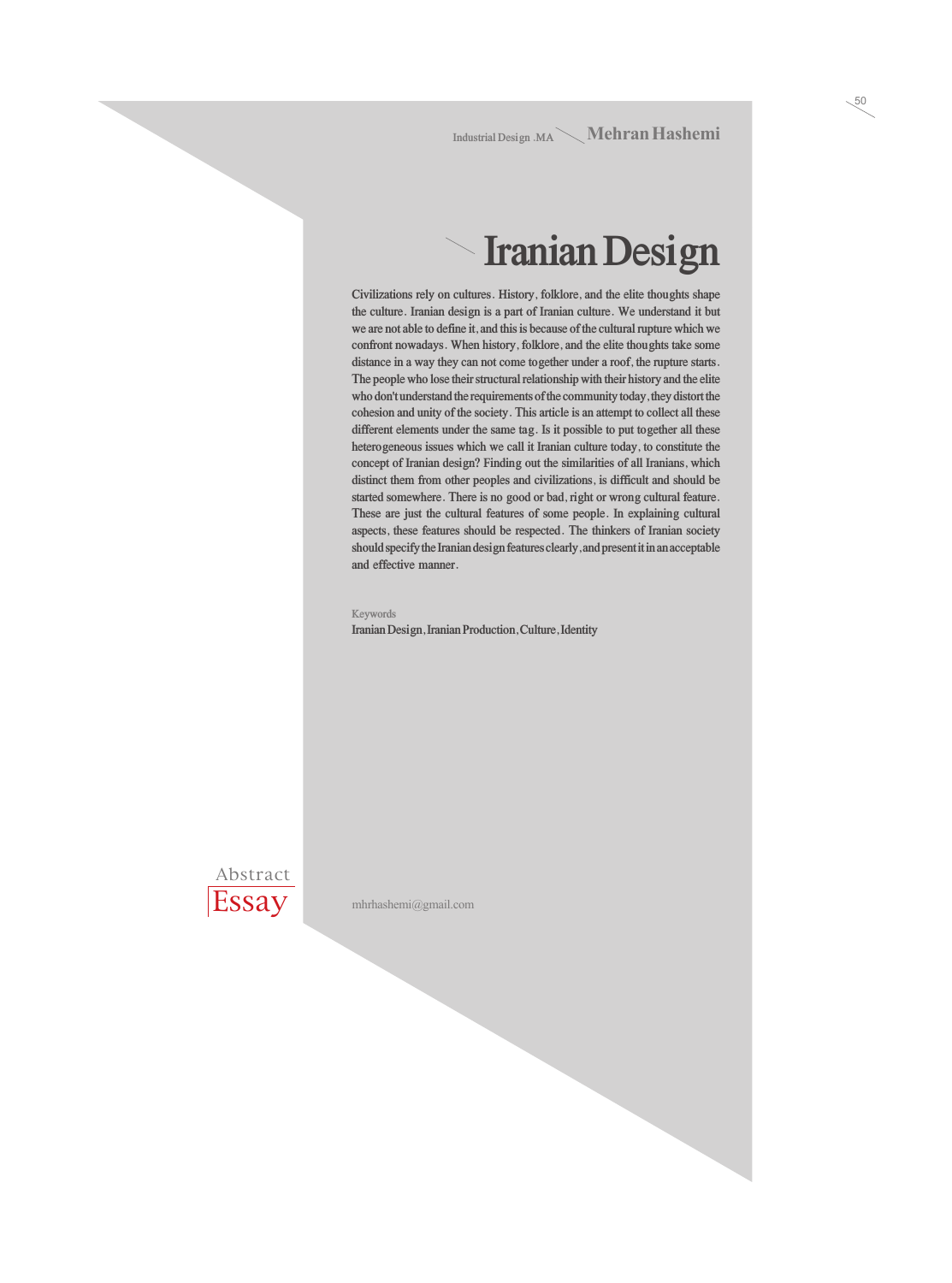**Industrial Design .MA** Mehran Hashemi

50

#### **Iranian Design**

**Civilizations rely on cultures. History, folklore, and the elite thoughts shape the culture. Iranian design is a part of Iranian culture. We understand it but we are not able to define it, and this is because of the cultural rupture which we confront nowadays. When history, folklore, and the elite thoughts take some distance in a way they can not come together under a roof, the rupture starts. The people who lose their structural relationship with their history and the elite who don't understand the requirements of the community today, they distort the cohesion and unity of the society. This article is an attempt to collect all these different elements under the same tag. Is it possible to put together all these heterogeneous issues which we call it Iranian culture today, to constitute the concept of Iranian design? Finding out the similarities of all Iranians, which distinct them from other peoples and civilizations, is difficult and should be started somewhere. There is no good or bad, right or wrong cultural feature. These are just the cultural features of some people. In explaining cultural aspects, these features should be respected. The thinkers of Iranian society should specify the Iranian design features clearly, and present it in an acceptable and effective manner.**

**Keywords Iranian Design, Iranian Production, Culture, Identity**

Abstract **Essay** 

mhrhashemi@gmail.com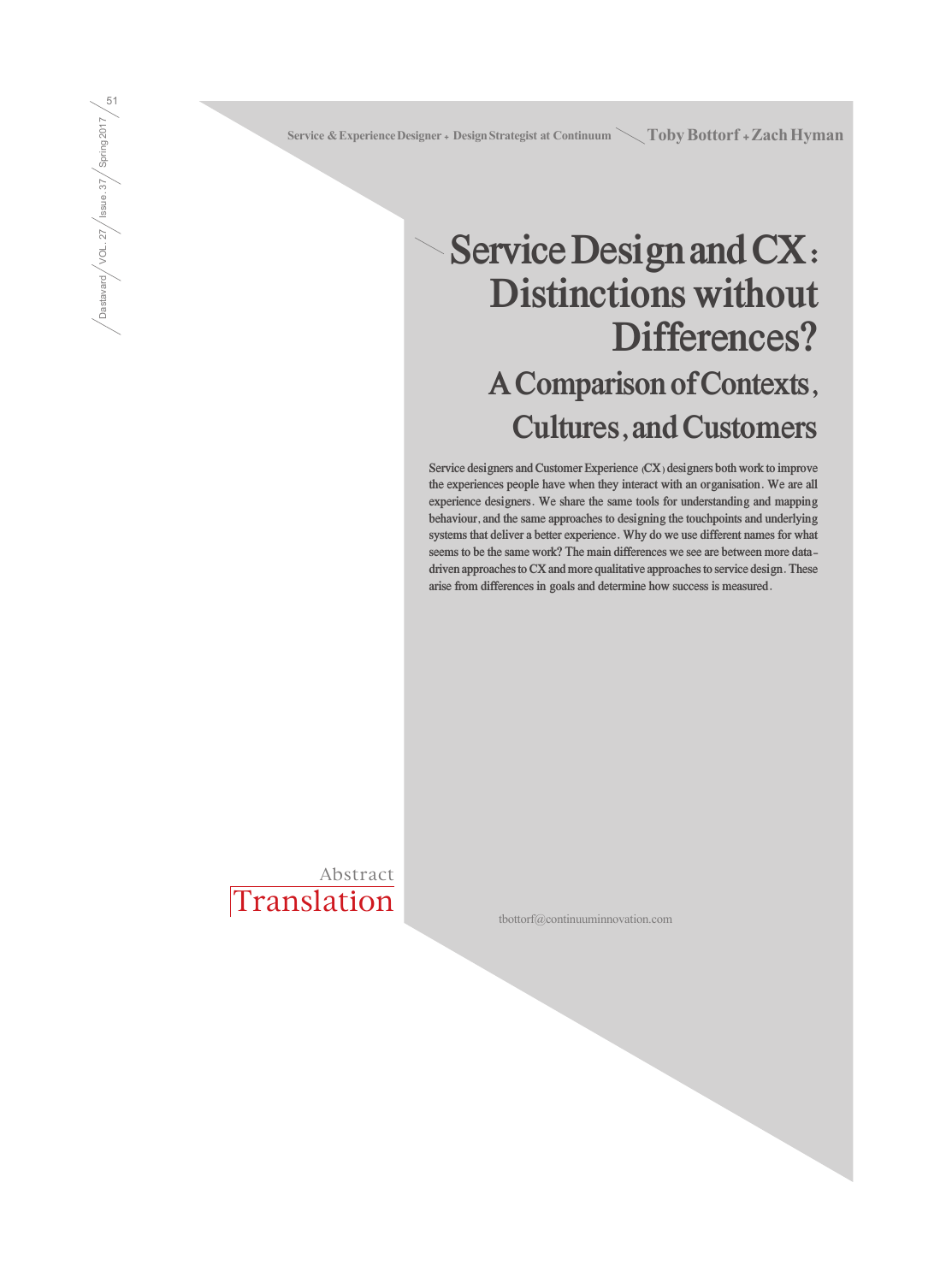Service & Experience Designer + Design Strategist at Continuum \ Toby Bottorf + Zach Hyman

### **Service Design and CX: Distinctions without Differences? A Comparison of Contexts, Cultures, and Customers**

**Service designers and Customer Experience (CX) designers both work to improve the experiences people have when they interact with an organisation. We are all experience designers. We share the same tools for understanding and mapping behaviour, and the same approaches to designing the touchpoints and underlying systems that deliver a better experience. Why do we use different names for what seems to be the same work? The main differences we see are between more datadriven approaches to CX and more qualitative approaches to service design. These arise from differences in goals and determine how success is measured.**

**Translation** Abstract

Dastavard / VOL. 27 / Issue. 37 / Spring 2017  $\sqrt{\frac{1}{\sqrt{3}}\log\left(\frac{1}{\sqrt{3}}\right)}$  /  $\sqrt{3}$  /  $\sqrt{3}$  /  $\sqrt{3}$  /  $\sqrt{3}$  /  $\sqrt{3}$  /  $\sqrt{3}$ 

tbottorf@continuuminnovation.com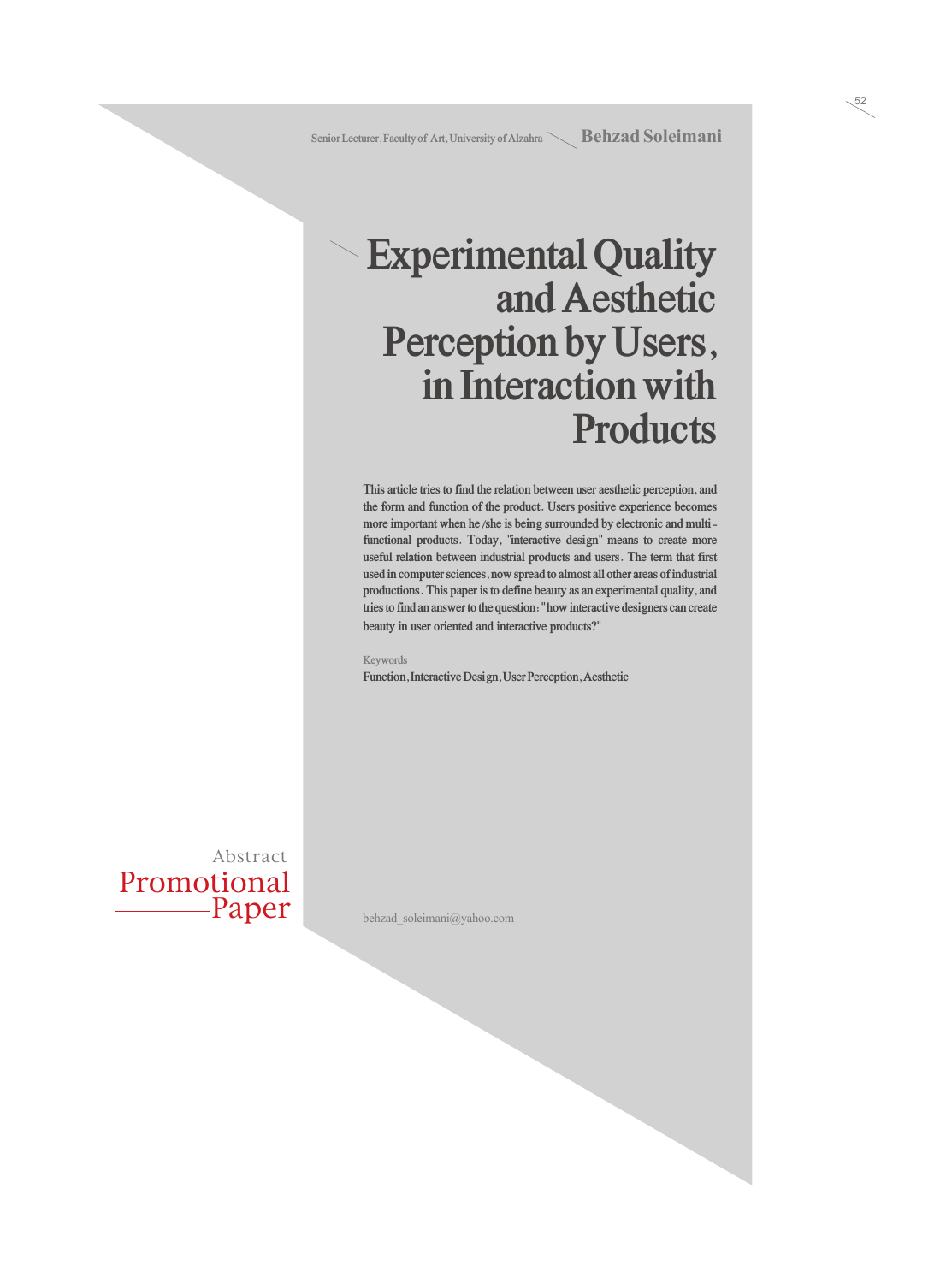52

### **Experimental Quality and Aesthetic Perception by Users, in Interaction with Products**

**This article tries to find the relation between user aesthetic perception, and the form and function of the product. Users positive experience becomes more important when he/she is being surrounded by electronic and multifunctional products. Today, "interactive design" means to create more useful relation between industrial products and users. The term that first used in computer sciences, now spread to almost all other areas of industrial productions. This paper is to define beauty as an experimental quality, and tries to find an answer to the question: " how interactive designers can create beauty in user oriented and interactive products?"**

#### **Keywords**

**Function, Interactive Design, User Perception, Aesthetic**

Promotional Paper Abstract

behzad\_soleimani@yahoo.com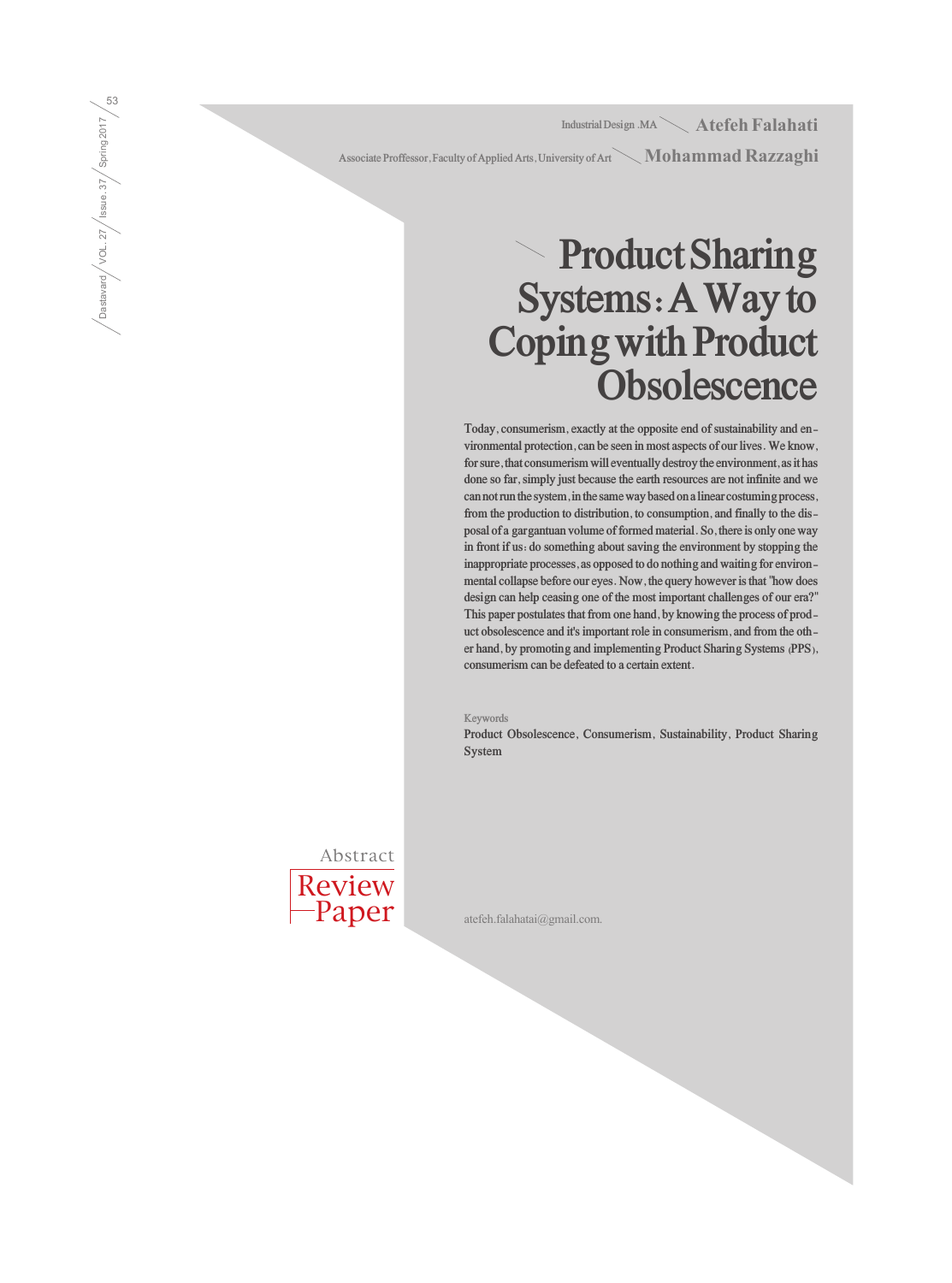**Industrial Design .MA** Atefeh Falahati

Associate Proffessor, Faculty of Applied Arts, University of Art  $\diagdown \mathbf{Mohammad \, Kazzag hi}$ 

## **Product Sharing Systems: A Way to Coping with Product Obsolescence**

**Today, consumerism, exactly at the opposite end of sustainability and environmental protection, can be seen in most aspects of our lives. We know, for sure, that consumerism will eventually destroy the environment, as it has done so far, simply just because the earth resources are not infinite and we can not run the system, in the same way based on a linear costuming process, from the production to distribution, to consumption, and finally to the disposal of a gargantuan volume of formed material. So, there is only one way in front if us: do something about saving the environment by stopping the inappropriate processes, as opposed to do nothing and waiting for environmental collapse before our eyes. Now, the query however is that "how does design can help ceasing one of the most important challenges of our era?" This paper postulates that from one hand, by knowing the process of product obsolescence and it's important role in consumerism, and from the other hand, by promoting and implementing Product Sharing Systems (PPS), consumerism can be defeated to a certain extent.**

**Keywords**

**Product Obsolescence, Consumerism, Sustainability, Product Sharing System**



atefeh.falahatai@gmail.com.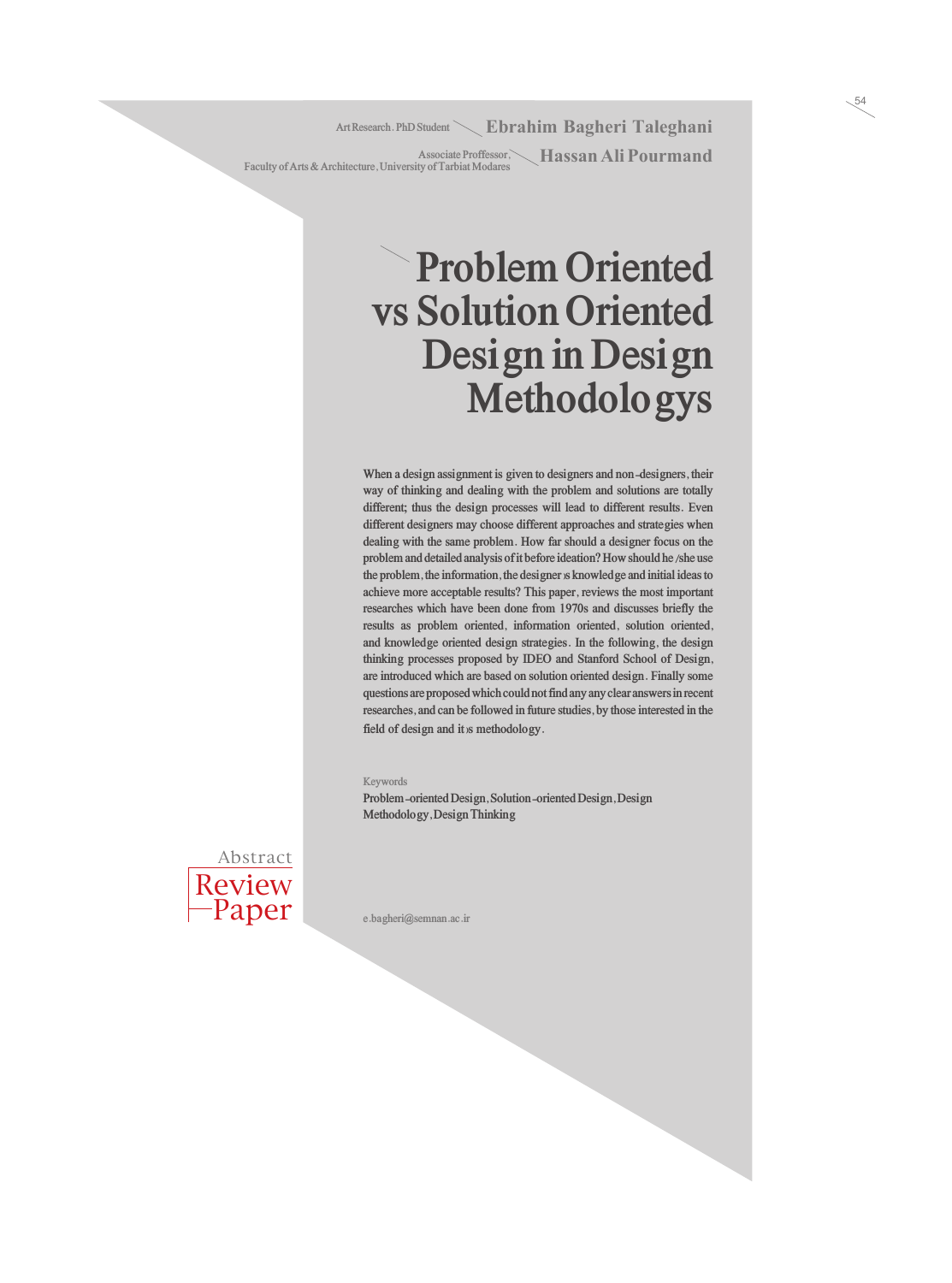Art Research. PhD Student **Ebrahim Bagheri Taleghani** 

**Associate Proffessor,** Hassan Ali Pourmand **Faculty of Arts & Architecture, University of Tarbiat Modares**

# **Problem Oriented vs Solution Oriented Design in Design Methodologys**

**When a design assignment is given to designers and non-designers, their way of thinking and dealing with the problem and solutions are totally different; thus the design processes will lead to different results. Even different designers may choose different approaches and strategies when dealing with the same problem. How far should a designer focus on the problem and detailed analysis of it before ideation? How should he/she use the problem, the information, the designer›s knowledge and initial ideas to achieve more acceptable results? This paper, reviews the most important researches which have been done from 1970s and discusses briefly the results as problem oriented, information oriented, solution oriented, and knowledge oriented design strategies. In the following, the design thinking processes proposed by IDEO and Stanford School of Design, are introduced which are based on solution oriented design. Finally some questions are proposed which could not find any any clear answers in recent researches, and can be followed in future studies, by those interested in the**  field of design and it is methodology.

#### **Keywords**

**Problem-oriented Design, Solution-oriented Design, Design Methodology, Design Thinking**



**e.bagheri@semnan.ac.ir**